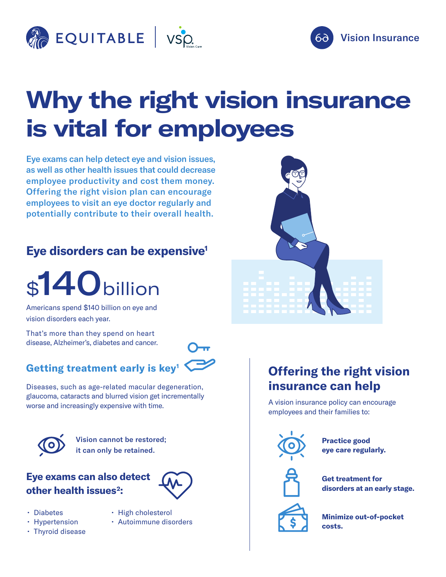



## **Why the right vision insurance is vital for employees**

Eye exams can help detect eye and vision issues, as well as other health issues that could decrease employee productivity and cost them money. Offering the right vision plan can encourage employees to visit an eye doctor regularly and potentially contribute to their overall health.

### **Eye disorders can be expensive1**

# \$140billion

Americans spend \$140 billion on eye and vision disorders each year.

That's more than they spend on heart disease, Alzheimer's, diabetes and cancer.

## **Getting treatment early is key1**



Diseases, such as age-related macular degeneration, glaucoma, cataracts and blurred vision get incrementally worse and increasingly expensive with time.



Vision cannot be restored; it can only be retained.

### **Eye exams can also detect other health issues<sup>2</sup>:**



- Diabetes
- Hypertension
- High cholesterol
- 



• Autoimmune disorders



## **Offering the right vision insurance can help**

A vision insurance policy can encourage employees and their families to:



**Practice good eye care regularly.**



**Get treatment for disorders at an early stage.**



**Minimize out-of-pocket costs.**